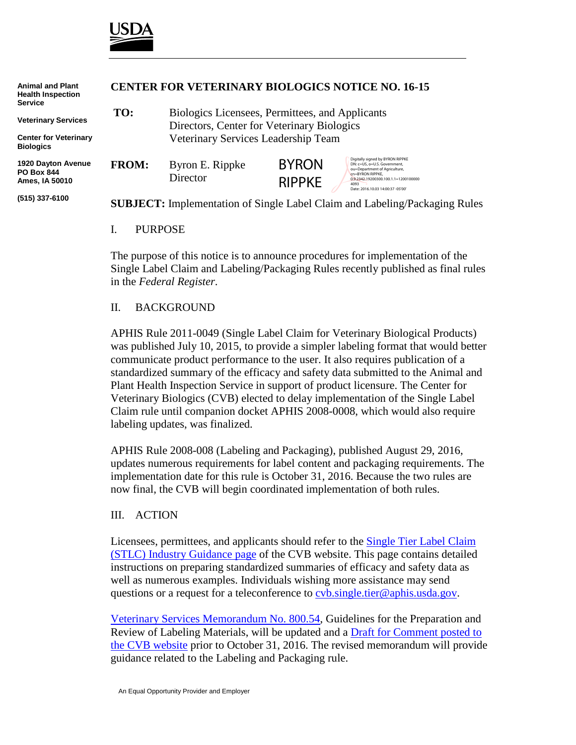

| <b>Animal and Plant</b><br><b>Health Inspection</b><br><b>Service</b> |              | <b>CENTER FOR VETERINARY BIOLOGICS NOTICE NO. 16-15</b>                                       |                               |                                                                                                                                                                                                            |  |
|-----------------------------------------------------------------------|--------------|-----------------------------------------------------------------------------------------------|-------------------------------|------------------------------------------------------------------------------------------------------------------------------------------------------------------------------------------------------------|--|
| <b>Veterinary Services</b>                                            | TO:          | Biologics Licensees, Permittees, and Applicants<br>Directors, Center for Veterinary Biologics |                               |                                                                                                                                                                                                            |  |
| <b>Center for Veterinary</b><br><b>Biologics</b>                      |              | Veterinary Services Leadership Team                                                           |                               |                                                                                                                                                                                                            |  |
| 1920 Dayton Avenue<br><b>PO Box 844</b><br>Ames. IA 50010             | <b>FROM:</b> | Byron E. Rippke<br>Director                                                                   | <b>BYRON</b><br><b>RIPPKE</b> | Digitally signed by BYRON RIPPKE<br>DN: c=US, o=U.S. Government,<br>ou=Department of Agriculture,<br>cn=BYRON RIPPKE.<br>0.9.2342.19200300.100.1.1=1200100000<br>4093<br>Date: 2016.10.03 14:00:37 -05'00' |  |
| (515) 337-6100                                                        |              |                                                                                               |                               | <b>SUBJECT:</b> Implementation of Single Label Claim and Labeling/Packaging Rules                                                                                                                          |  |

I. PURPOSE

The purpose of this notice is to announce procedures for implementation of the Single Label Claim and Labeling/Packaging Rules recently published as final rules in the *Federal Register*.

## II. BACKGROUND

APHIS Rule 2011-0049 (Single Label Claim for Veterinary Biological Products) was published July 10, 2015, to provide a simpler labeling format that would better communicate product performance to the user. It also requires publication of a standardized summary of the efficacy and safety data submitted to the Animal and Plant Health Inspection Service in support of product licensure. The Center for Veterinary Biologics (CVB) elected to delay implementation of the Single Label Claim rule until companion docket APHIS 2008-0008, which would also require labeling updates, was finalized.

APHIS Rule 2008-008 (Labeling and Packaging), published August 29, 2016, updates numerous requirements for label content and packaging requirements. The implementation date for this rule is October 31, 2016. Because the two rules are now final, the CVB will begin coordinated implementation of both rules.

## III. ACTION

Licensees, permittees, and applicants should refer to the [Single Tier Label Claim](https://www.aphis.usda.gov/aphis/ourfocus/animalhealth/veterinary-biologics/ct_vb_stlc_industry_guidance)  [\(STLC\) Industry Guidance page](https://www.aphis.usda.gov/aphis/ourfocus/animalhealth/veterinary-biologics/ct_vb_stlc_industry_guidance) of the CVB website. This page contains detailed instructions on preparing standardized summaries of efficacy and safety data as well as numerous examples. Individuals wishing more assistance may send questions or a request for a teleconference to [cvb.single.tier@aphis.usda.gov.](mailto:cvb.single.tier@aphis.usda.gov)

[Veterinary Services Memorandum No. 800.54,](https://www.aphis.usda.gov/animal_health/vet_biologics/publications/memo_800_54.pdf) Guidelines for the Preparation and Review of Labeling Materials, will be updated and a [Draft for Comment posted to](https://www.aphis.usda.gov/aphis/ourfocus/animalhealth/veterinary-biologics/biologics-regulations-and-guidance/ct_vb_draft_guidance)  [the CVB website](https://www.aphis.usda.gov/aphis/ourfocus/animalhealth/veterinary-biologics/biologics-regulations-and-guidance/ct_vb_draft_guidance) prior to October 31, 2016. The revised memorandum will provide guidance related to the Labeling and Packaging rule.